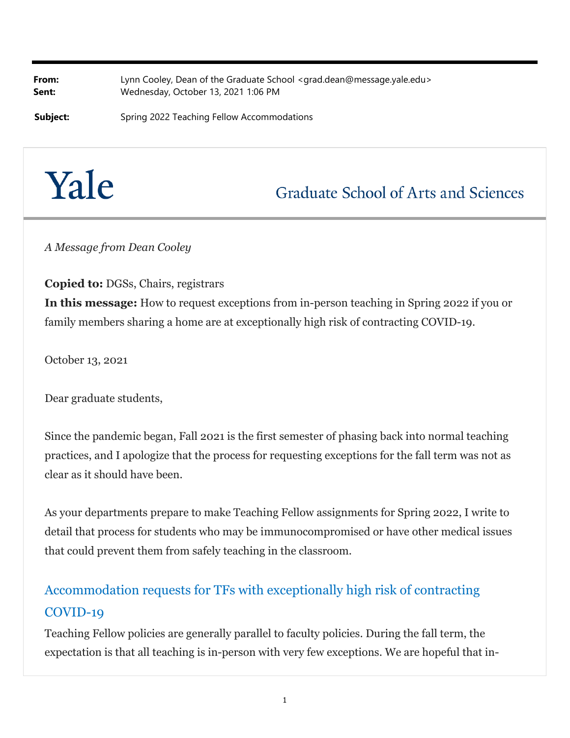**From:** Lynn Cooley, Dean of the Graduate School <grad.dean@message.yale.edu> **Sent:** Wednesday, October 13, 2021 1:06 PM

**Subject:** Spring 2022 Teaching Fellow Accommodations

# Yale

## **Graduate School of Arts and Sciences**

*A Message from Dean Cooley*

**Copied to:** DGSs, Chairs, registrars

**In this message:** How to request exceptions from in-person teaching in Spring 2022 if you or family members sharing a home are at exceptionally high risk of contracting COVID-19.

October 13, 2021

Dear graduate students,

Since the pandemic began, Fall 2021 is the first semester of phasing back into normal teaching practices, and I apologize that the process for requesting exceptions for the fall term was not as clear as it should have been.

As your departments prepare to make Teaching Fellow assignments for Spring 2022, I write to detail that process for students who may be immunocompromised or have other medical issues that could prevent them from safely teaching in the classroom.

### Accommodation requests for TFs with exceptionally high risk of contracting COVID-19

Teaching Fellow policies are generally parallel to faculty policies. During the fall term, the expectation is that all teaching is in-person with very few exceptions. We are hopeful that in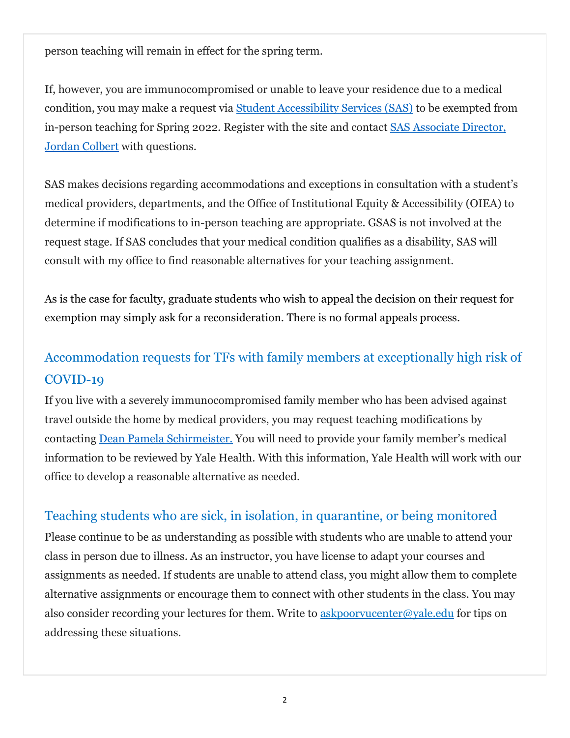person teaching will remain in effect for the spring term.

If, however, you are immunocompromised or unable to leave your residence due to a medical condition, you may make a request via Student Accessibility Services (SAS) to be exempted from in-person teaching for Spring 2022. Register with the site and contact SAS Associate Director, Jordan Colbert with questions.

SAS makes decisions regarding accommodations and exceptions in consultation with a student's medical providers, departments, and the Office of Institutional Equity & Accessibility (OIEA) to determine if modifications to in-person teaching are appropriate. GSAS is not involved at the request stage. If SAS concludes that your medical condition qualifies as a disability, SAS will consult with my office to find reasonable alternatives for your teaching assignment.

As is the case for faculty, graduate students who wish to appeal the decision on their request for exemption may simply ask for a reconsideration. There is no formal appeals process.

### Accommodation requests for TFs with family members at exceptionally high risk of COVID-19

If you live with a severely immunocompromised family member who has been advised against travel outside the home by medical providers, you may request teaching modifications by contacting Dean Pamela Schirmeister. You will need to provide your family member's medical information to be reviewed by Yale Health. With this information, Yale Health will work with our office to develop a reasonable alternative as needed.

#### Teaching students who are sick, in isolation, in quarantine, or being monitored

Please continue to be as understanding as possible with students who are unable to attend your class in person due to illness. As an instructor, you have license to adapt your courses and assignments as needed. If students are unable to attend class, you might allow them to complete alternative assignments or encourage them to connect with other students in the class. You may also consider recording your lectures for them. Write to askpoorvucenter@yale.edu for tips on addressing these situations.